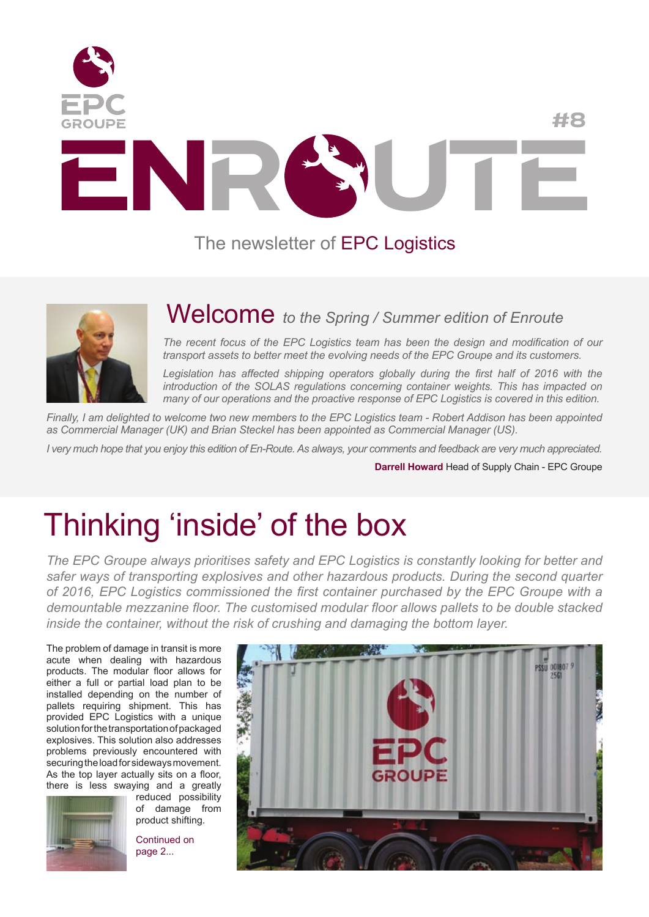

#### The newsletter of EPC Logistics



#### Welcome *to the Spring / Summer edition of Enroute*

*The recent focus of the EPC Logistics team has been the design and modification of our transport assets to better meet the evolving needs of the EPC Groupe and its customers.*

Legislation has affected shipping operators globally during the first half of 2016 with the *introduction of the SOLAS regulations concerning container weights. This has impacted on many of our operations and the proactive response of EPC Logistics is covered in this edition.*

*Finally, I am delighted to welcome two new members to the EPC Logistics team - Robert Addison has been appointed as Commercial Manager (UK) and Brian Steckel has been appointed as Commercial Manager (US).*

*I very much hope that you enjoy this edition of En-Route. As always, your comments and feedback are very much appreciated.*

**Darrell Howard** Head of Supply Chain - EPC Groupe

### Thinking 'inside' of the box

*The EPC Groupe always prioritises safety and EPC Logistics is constantly looking for better and safer ways of transporting explosives and other hazardous products. During the second quarter of 2016, EPC Logistics commissioned the first container purchased by the EPC Groupe with a demountable mezzanine floor. The customised modular floor allows pallets to be double stacked inside the container, without the risk of crushing and damaging the bottom layer.*

The problem of damage in transit is more acute when dealing with hazardous products. The modular floor allows for either a full or partial load plan to be installed depending on the number of pallets requiring shipment. This has provided EPC Logistics with a unique solution for the transportation of packaged explosives. This solution also addresses problems previously encountered with securing the load for sideways movement. As the top layer actually sits on a floor, there is less swaying and a greatly



reduced possibility of damage from product shifting.

Continued on page 2...

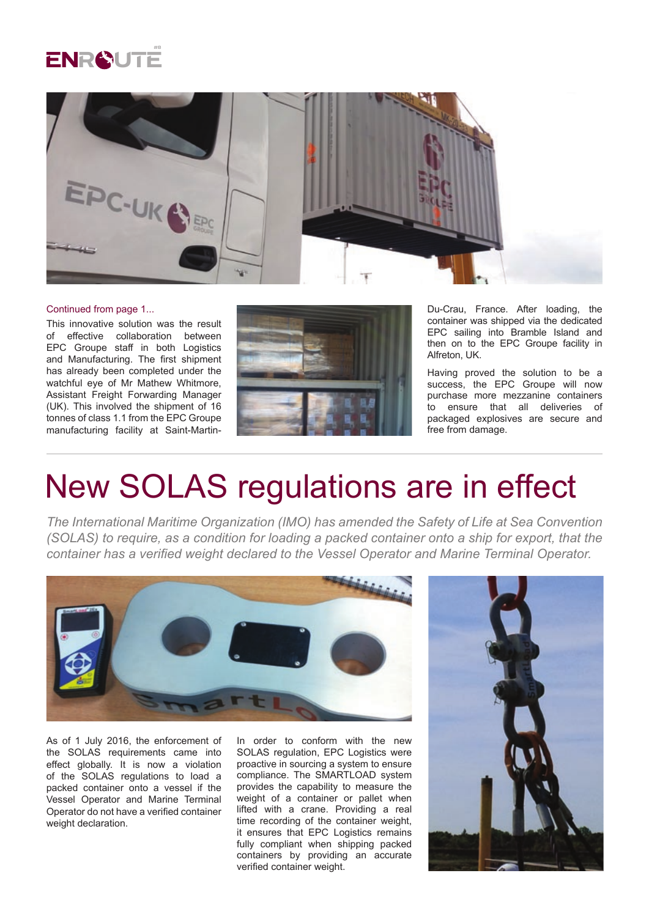



#### Continued from page 1...

This innovative solution was the result of effective collaboration between EPC Groupe staff in both Logistics and Manufacturing. The first shipment has already been completed under the watchful eye of Mr Mathew Whitmore, Assistant Freight Forwarding Manager (UK). This involved the shipment of 16 tonnes of class 1.1 from the EPC Groupe manufacturing facility at Saint-Martin-



Du-Crau, France. After loading, the container was shipped via the dedicated EPC sailing into Bramble Island and then on to the EPC Groupe facility in Alfreton, UK.

Having proved the solution to be a success, the EPC Groupe will now purchase more mezzanine containers to ensure that all deliveries of packaged explosives are secure and free from damage.

#### New SOLAS regulations are in effect

*The International Maritime Organization (IMO) has amended the Safety of Life at Sea Convention (SOLAS) to require, as a condition for loading a packed container onto a ship for export, that the container has a verified weight declared to the Vessel Operator and Marine Terminal Operator.*



As of 1 July 2016, the enforcement of the SOLAS requirements came into effect globally. It is now a violation of the SOLAS regulations to load a packed container onto a vessel if the Vessel Operator and Marine Terminal Operator do not have a verified container weight declaration.

In order to conform with the new SOLAS regulation, EPC Logistics were proactive in sourcing a system to ensure compliance. The SMARTLOAD system provides the capability to measure the weight of a container or pallet when lifted with a crane. Providing a real time recording of the container weight, it ensures that EPC Logistics remains fully compliant when shipping packed containers by providing an accurate verified container weight.

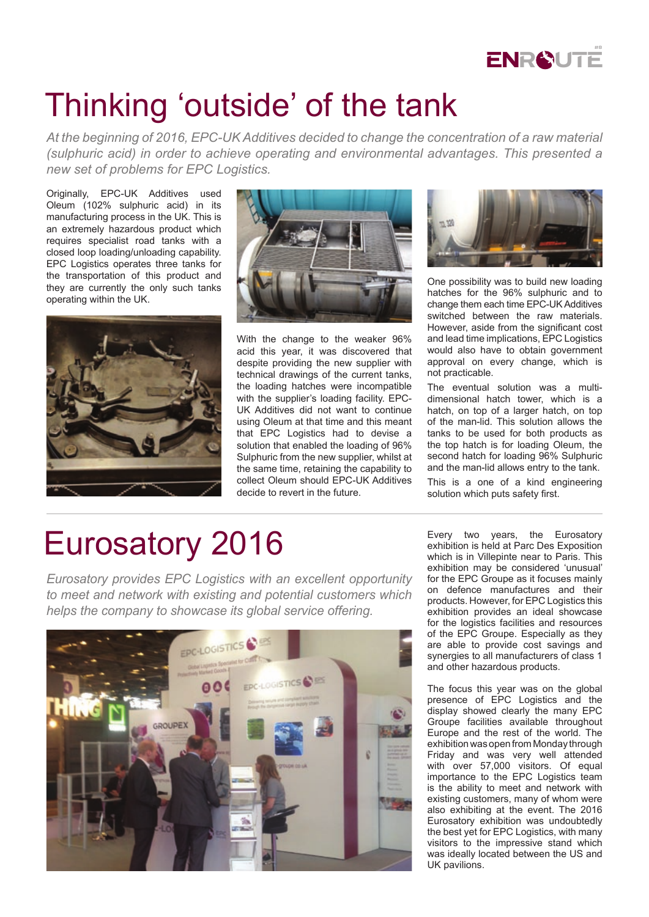

# Thinking 'outside' of the tank

*At the beginning of 2016, EPC-UK Additives decided to change the concentration of a raw material (sulphuric acid) in order to achieve operating and environmental advantages. This presented a new set of problems for EPC Logistics.*

Originally, EPC-UK Additives used Oleum (102% sulphuric acid) in its manufacturing process in the UK. This is an extremely hazardous product which requires specialist road tanks with a closed loop loading/unloading capability. EPC Logistics operates three tanks for the transportation of this product and they are currently the only such tanks operating within the UK.





With the change to the weaker 96% acid this year, it was discovered that despite providing the new supplier with technical drawings of the current tanks, the loading hatches were incompatible with the supplier's loading facility. EPC-UK Additives did not want to continue using Oleum at that time and this meant that EPC Logistics had to devise a solution that enabled the loading of 96% Sulphuric from the new supplier, whilst at the same time, retaining the capability to collect Oleum should EPC-UK Additives decide to revert in the future.



One possibility was to build new loading hatches for the 96% sulphuric and to change them each time EPC-UK Additives switched between the raw materials. However, aside from the significant cost and lead time implications, EPC Logistics would also have to obtain government approval on every change, which is not practicable.

The eventual solution was a multidimensional hatch tower, which is a hatch, on top of a larger hatch, on top of the man-lid. This solution allows the tanks to be used for both products as the top hatch is for loading Oleum, the second hatch for loading 96% Sulphuric and the man-lid allows entry to the tank.

This is a one of a kind engineering solution which puts safety first.

### Eurosatory 2016

*Eurosatory provides EPC Logistics with an excellent opportunity to meet and network with existing and potential customers which helps the company to showcase its global service offering.*



Every two years, the Eurosatory exhibition is held at Parc Des Exposition which is in Villepinte near to Paris. This exhibition may be considered 'unusual' for the EPC Groupe as it focuses mainly on defence manufactures and their products. However, for EPC Logistics this exhibition provides an ideal showcase for the logistics facilities and resources of the EPC Groupe. Especially as they are able to provide cost savings and synergies to all manufacturers of class 1 and other hazardous products.

The focus this year was on the global presence of EPC Logistics and the display showed clearly the many EPC Groupe facilities available throughout Europe and the rest of the world. The exhibition was open from Monday through Friday and was very well attended with over 57,000 visitors. Of equal importance to the EPC Logistics team is the ability to meet and network with existing customers, many of whom were also exhibiting at the event. The 2016 Eurosatory exhibition was undoubtedly the best yet for EPC Logistics, with many visitors to the impressive stand which was ideally located between the US and UK pavilions.